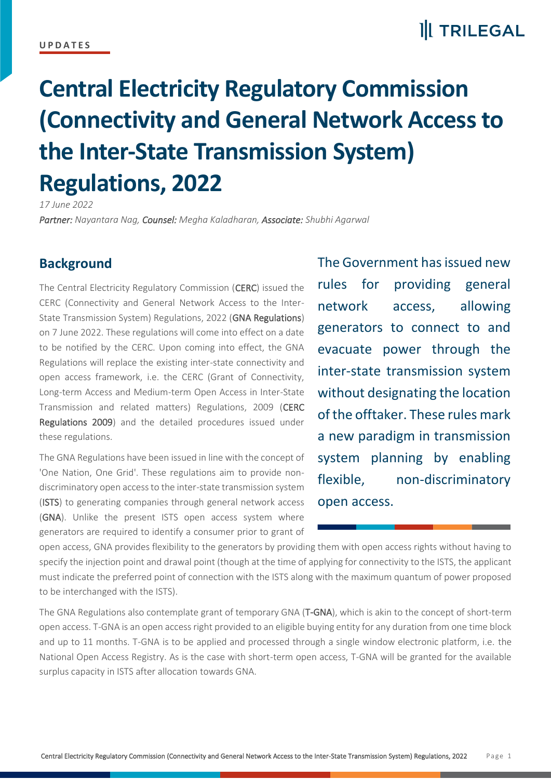#### **U P D A T E S**

### **II** TRILEGAL

# **Central Electricity Regulatory Commission (Connectivity and General Network Access to the Inter-State Transmission System) Regulations, 2022**

*17 June 2022*

*Partner: Nayantara Nag, Counsel: Megha Kaladharan, Associate: Shubhi Agarwal*

#### **Background**

The Central Electricity Regulatory Commission (CERC) issued the CERC (Connectivity and General Network Access to the Inter-State Transmission System) Regulations, 2022 (GNA Regulations) on 7 June 2022. These regulations will come into effect on a date to be notified by the CERC. Upon coming into effect, the GNA Regulations will replace the existing inter-state connectivity and open access framework, i.e. the CERC (Grant of Connectivity, Long-term Access and Medium-term Open Access in Inter-State Transmission and related matters) Regulations, 2009 (CERC Regulations 2009) and the detailed procedures issued under these regulations.

The GNA Regulations have been issued in line with the concept of 'One Nation, One Grid'. These regulations aim to provide nondiscriminatory open access to the inter-state transmission system (ISTS) to generating companies through general network access (GNA). Unlike the present ISTS open access system where generators are required to identify a consumer prior to grant of

The Government has issued new rules for providing general network access, allowing generators to connect to and evacuate power through the inter-state transmission system without designating the location of the offtaker. These rules mark a new paradigm in transmission system planning by enabling flexible, non-discriminatory open access.

open access, GNA provides flexibility to the generators by providing them with open access rights without having to specify the injection point and drawal point (though at the time of applying for connectivity to the ISTS, the applicant must indicate the preferred point of connection with the ISTS along with the maximum quantum of power proposed to be interchanged with the ISTS).

The GNA Regulations also contemplate grant of temporary GNA (T-GNA), which is akin to the concept of short-term open access. T-GNA is an open access right provided to an eligible buying entity for any duration from one time block and up to 11 months. T-GNA is to be applied and processed through a single window electronic platform, i.e. the National Open Access Registry. As is the case with short-term open access, T-GNA will be granted for the available surplus capacity in ISTS after allocation towards GNA.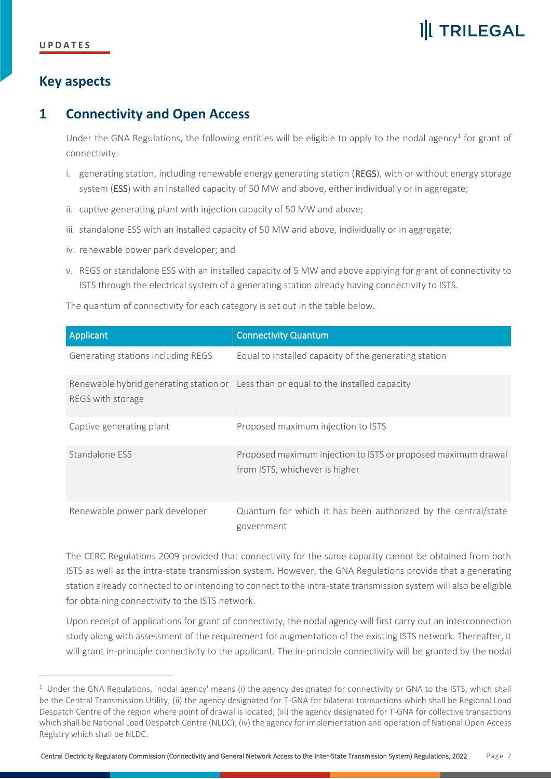## **II** TRILEGAL

### **Key aspects**

### **1 Connectivity and Open Access**

Under the GNA Regulations, the following entities will be eligible to apply to the nodal agency<sup>1</sup> for grant of connectivity:

- i. generating station, including renewable energy generating station (REGS), with or without energy storage system (ESS) with an installed capacity of 50 MW and above, either individually or in aggregate;
- ii. captive generating plant with injection capacity of 50 MW and above;
- iii. standalone ESS with an installed capacity of 50 MW and above, individually or in aggregate;
- iv. renewable power park developer; and
- v. REGS or standalone ESS with an installed capacity of 5 MW and above applying for grant of connectivity to ISTS through the electrical system of a generating station already having connectivity to ISTS.

The quantum of connectivity for each category is set out in the table below.

| Applicant                          | <b>Connectivity Quantum</b>                                                                     |
|------------------------------------|-------------------------------------------------------------------------------------------------|
| Generating stations including REGS | Equal to installed capacity of the generating station                                           |
| REGS with storage                  | Renewable hybrid generating station or Less than or equal to the installed capacity             |
| Captive generating plant           | Proposed maximum injection to ISTS                                                              |
| Standalone ESS                     | Proposed maximum injection to ISTS or proposed maximum drawal<br>from ISTS, whichever is higher |
| Renewable power park developer     | Quantum for which it has been authorized by the central/state<br>government                     |

The CERC Regulations 2009 provided that connectivity for the same capacity cannot be obtained from both ISTS as well as the intra-state transmission system. However, the GNA Regulations provide that a generating station already connected to or intending to connect to the intra-state transmission system will also be eligible for obtaining connectivity to the ISTS network.

Upon receipt of applications for grant of connectivity, the nodal agency will first carry out an interconnection study along with assessment of the requirement for augmentation of the existing ISTS network. Thereafter, it will grant in-principle connectivity to the applicant. The in-principle connectivity will be granted by the nodal

 $1$  Under the GNA Regulations, 'nodal agency' means (i) the agency designated for connectivity or GNA to the ISTS, which shall be the Central Transmission Utility; (ii) the agency designated for T-GNA for bilateral transactions which shall be Regional Load Despatch Centre of the region where point of drawal is located; (iii) the agency designated for T-GNA for collective transactions which shall be National Load Despatch Centre (NLDC); (iv) the agency for implementation and operation of National Open Access Registry which shall be NLDC.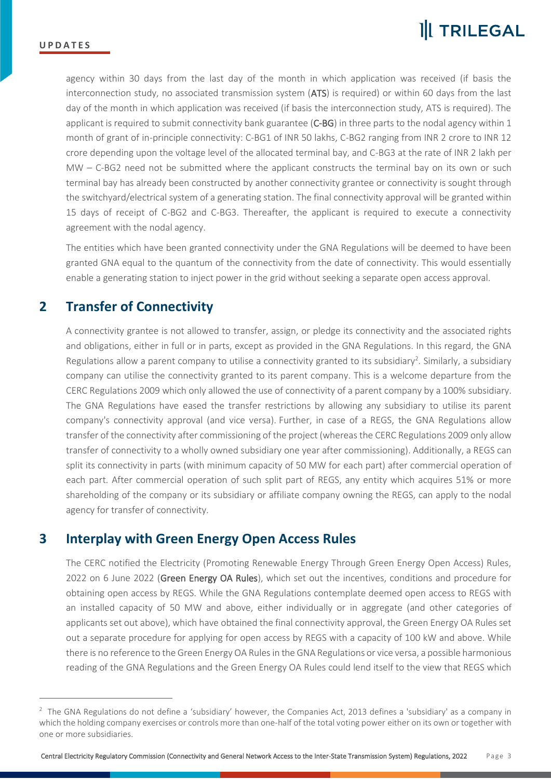agency within 30 days from the last day of the month in which application was received (if basis the interconnection study, no associated transmission system (ATS) is required) or within 60 days from the last day of the month in which application was received (if basis the interconnection study, ATS is required). The applicant is required to submit connectivity bank guarantee (C-BG) in three parts to the nodal agency within 1 month of grant of in-principle connectivity: C-BG1 of INR 50 lakhs, C-BG2 ranging from INR 2 crore to INR 12 crore depending upon the voltage level of the allocated terminal bay, and C-BG3 at the rate of INR 2 lakh per MW – C-BG2 need not be submitted where the applicant constructs the terminal bay on its own or such terminal bay has already been constructed by another connectivity grantee or connectivity is sought through the switchyard/electrical system of a generating station. The final connectivity approval will be granted within 15 days of receipt of C-BG2 and C-BG3. Thereafter, the applicant is required to execute a connectivity agreement with the nodal agency.

The entities which have been granted connectivity under the GNA Regulations will be deemed to have been granted GNA equal to the quantum of the connectivity from the date of connectivity. This would essentially enable a generating station to inject power in the grid without seeking a separate open access approval.

#### **2 Transfer of Connectivity**

A connectivity grantee is not allowed to transfer, assign, or pledge its connectivity and the associated rights and obligations, either in full or in parts, except as provided in the GNA Regulations. In this regard, the GNA Regulations allow a parent company to utilise a connectivity granted to its subsidiary<sup>2</sup>. Similarly, a subsidiary company can utilise the connectivity granted to its parent company. This is a welcome departure from the CERC Regulations 2009 which only allowed the use of connectivity of a parent company by a 100% subsidiary. The GNA Regulations have eased the transfer restrictions by allowing any subsidiary to utilise its parent company's connectivity approval (and vice versa). Further, in case of a REGS, the GNA Regulations allow transfer of the connectivity after commissioning of the project (whereas the CERC Regulations 2009 only allow transfer of connectivity to a wholly owned subsidiary one year after commissioning). Additionally, a REGS can split its connectivity in parts (with minimum capacity of 50 MW for each part) after commercial operation of each part. After commercial operation of such split part of REGS, any entity which acquires 51% or more shareholding of the company or its subsidiary or affiliate company owning the REGS, can apply to the nodal agency for transfer of connectivity.

#### **3 Interplay with Green Energy Open Access Rules**

The CERC notified the Electricity (Promoting Renewable Energy Through Green Energy Open Access) Rules, 2022 on 6 June 2022 (Green Energy OA Rules), which set out the incentives, conditions and procedure for obtaining open access by REGS. While the GNA Regulations contemplate deemed open access to REGS with an installed capacity of 50 MW and above, either individually or in aggregate (and other categories of applicants set out above), which have obtained the final connectivity approval, the Green Energy OA Rules set out a separate procedure for applying for open access by REGS with a capacity of 100 kW and above. While there is no reference to the Green Energy OA Rules in the GNA Regulations or vice versa, a possible harmonious reading of the GNA Regulations and the Green Energy OA Rules could lend itself to the view that REGS which

 $2$  The GNA Regulations do not define a 'subsidiary' however, the Companies Act, 2013 defines a 'subsidiary' as a company in which the holding company exercises or controls more than one-half of the total voting power either on its own or together with one or more subsidiaries.